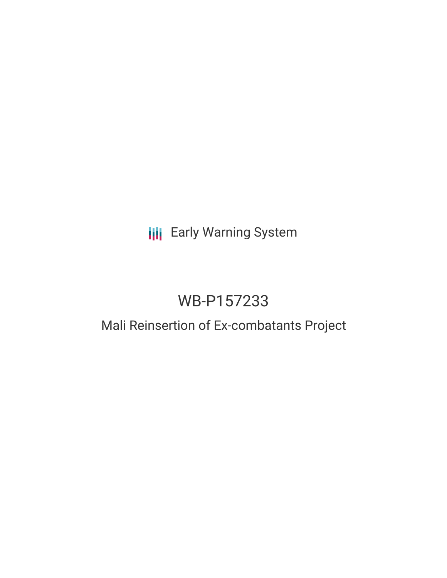# **III** Early Warning System

# WB-P157233

### Mali Reinsertion of Ex-combatants Project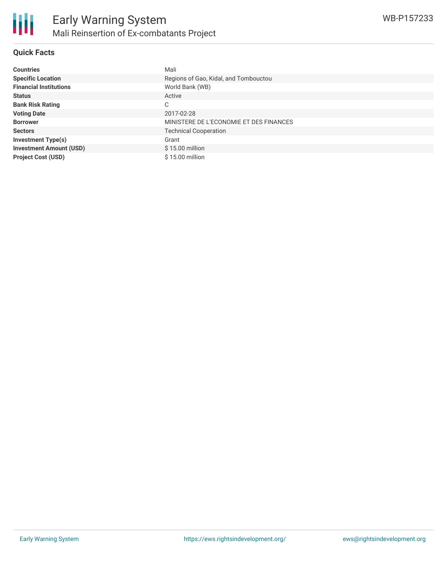

#### **Quick Facts**

| <b>Countries</b>               | Mali                                    |
|--------------------------------|-----------------------------------------|
| <b>Specific Location</b>       | Regions of Gao, Kidal, and Tombouctou   |
| <b>Financial Institutions</b>  | World Bank (WB)                         |
| <b>Status</b>                  | Active                                  |
| <b>Bank Risk Rating</b>        | С                                       |
| <b>Voting Date</b>             | 2017-02-28                              |
| <b>Borrower</b>                | MINISTERE DE L'ECONOMIE ET DES FINANCES |
| <b>Sectors</b>                 | <b>Technical Cooperation</b>            |
| <b>Investment Type(s)</b>      | Grant                                   |
| <b>Investment Amount (USD)</b> | $$15.00$ million                        |
| <b>Project Cost (USD)</b>      | $$15.00$ million                        |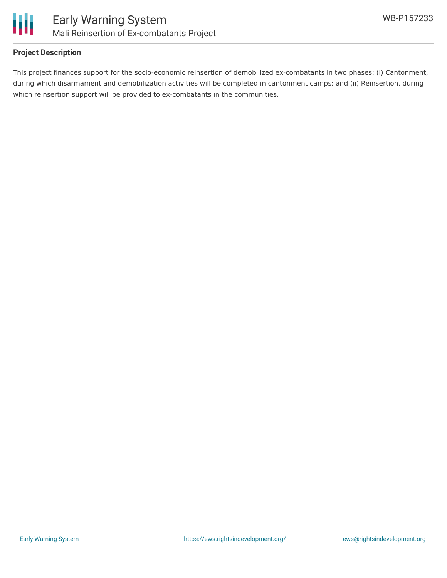

#### **Project Description**

This project finances support for the socio-economic reinsertion of demobilized ex-combatants in two phases: (i) Cantonment, during which disarmament and demobilization activities will be completed in cantonment camps; and (ii) Reinsertion, during which reinsertion support will be provided to ex-combatants in the communities.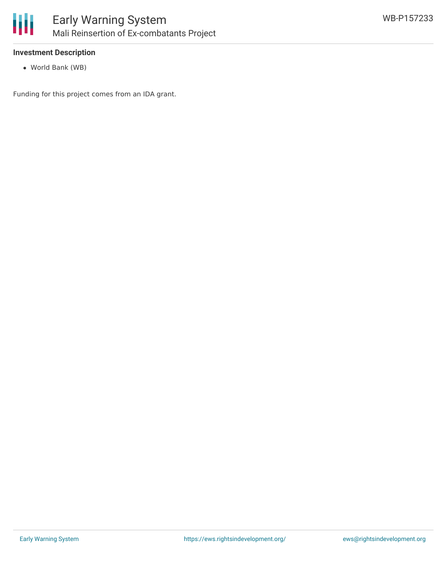

#### **Investment Description**

World Bank (WB)

Funding for this project comes from an IDA grant.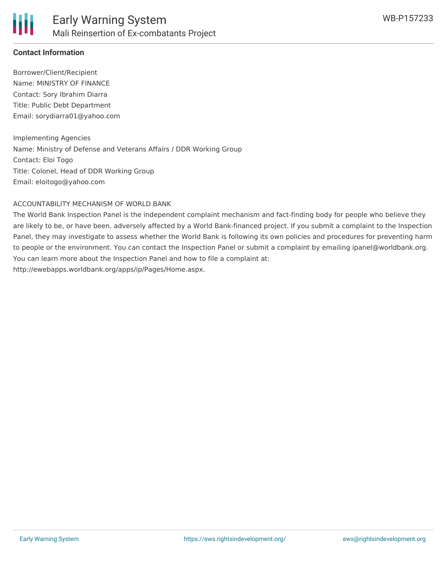

#### **Contact Information**

Borrower/Client/Recipient Name: MINISTRY OF FINANCE Contact: Sory Ibrahim Diarra Title: Public Debt Department Email: sorydiarra01@yahoo.com

Implementing Agencies Name: Ministry of Defense and Veterans Affairs / DDR Working Group Contact: Eloi Togo Title: Colonel, Head of DDR Working Group Email: eloitogo@yahoo.com

#### ACCOUNTABILITY MECHANISM OF WORLD BANK

The World Bank Inspection Panel is the independent complaint mechanism and fact-finding body for people who believe they are likely to be, or have been, adversely affected by a World Bank-financed project. If you submit a complaint to the Inspection Panel, they may investigate to assess whether the World Bank is following its own policies and procedures for preventing harm to people or the environment. You can contact the Inspection Panel or submit a complaint by emailing ipanel@worldbank.org. You can learn more about the Inspection Panel and how to file a complaint at: http://ewebapps.worldbank.org/apps/ip/Pages/Home.aspx.